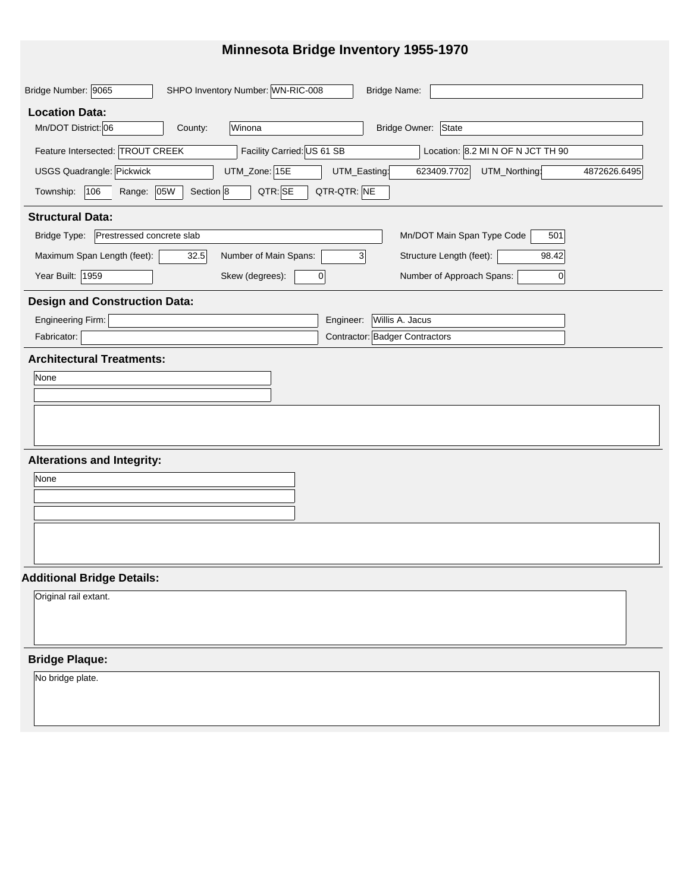## **Minnesota Bridge Inventory 1955-1970**

| SHPO Inventory Number: WN-RIC-008<br>Bridge Number: 9065<br><b>Bridge Name:</b>                                   |
|-------------------------------------------------------------------------------------------------------------------|
| <b>Location Data:</b>                                                                                             |
| Mn/DOT District: 06<br>Bridge Owner: State<br>Winona<br>County:                                                   |
| Facility Carried: US 61 SB<br>Location: 8.2 MI N OF N JCT TH 90<br>Feature Intersected: TROUT CREEK               |
| UTM_Zone: 15E<br>USGS Quadrangle: Pickwick<br>UTM_Easting:<br>623409.7702<br>UTM_Northing:<br>4872626.6495        |
| QTR-QTR: NE<br>QTR: SE<br>Section 8<br>106<br>Range: 05W<br>Township:                                             |
| <b>Structural Data:</b>                                                                                           |
| Bridge Type:<br>Prestressed concrete slab<br>Mn/DOT Main Span Type Code<br>501                                    |
| Maximum Span Length (feet):<br>Number of Main Spans:<br>Structure Length (feet):<br>$\mathbf{3}$<br>32.5<br>98.42 |
| Year Built: 1959<br>Skew (degrees):<br>$\overline{0}$<br>Number of Approach Spans:<br>$\overline{0}$              |
| <b>Design and Construction Data:</b>                                                                              |
| Engineering Firm:<br>Willis A. Jacus<br>Engineer:                                                                 |
| Contractor: Badger Contractors<br>Fabricator:                                                                     |
| <b>Architectural Treatments:</b>                                                                                  |
| None                                                                                                              |
|                                                                                                                   |
|                                                                                                                   |
|                                                                                                                   |
| <b>Alterations and Integrity:</b>                                                                                 |
| None                                                                                                              |
|                                                                                                                   |
|                                                                                                                   |
|                                                                                                                   |
|                                                                                                                   |
| <b>Additional Bridge Details:</b>                                                                                 |
| Original rail extant.                                                                                             |
|                                                                                                                   |
|                                                                                                                   |
| <b>Bridge Plaque:</b>                                                                                             |
| No bridge plate.                                                                                                  |
|                                                                                                                   |
|                                                                                                                   |
|                                                                                                                   |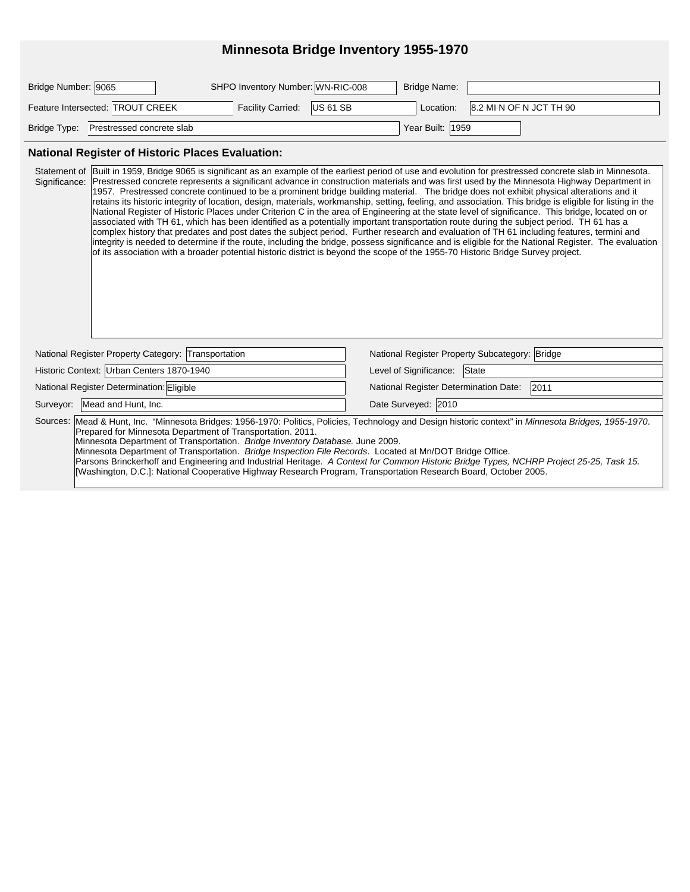## **Minnesota Bridge Inventory 1955-1970**

| Bridge Number: 9065                    | SHPO Inventory Number: WN-RIC-008 | Bridge Name:     |                         |
|----------------------------------------|-----------------------------------|------------------|-------------------------|
| Feature Intersected: TROUT CREEK       | Facility Carried: US 61 SB        | Location:        | 8.2 MI N OF N JCT TH 90 |
| Bridge Type: Prestressed concrete slab |                                   | Year Built: 1959 |                         |

#### **National Register of Historic Places Evaluation:**

| Statement of Built in 1959, Bridge 9065 is significant as an example of the earliest period of use and evolution for prestressed concrete slab in Minnesota.<br>Prestressed concrete represents a significant advance in construction materials and was first used by the Minnesota Highway Department in<br>Significance:<br>1957. Prestressed concrete continued to be a prominent bridge building material. The bridge does not exhibit physical alterations and it<br>retains its historic integrity of location, design, materials, workmanship, setting, feeling, and association. This bridge is eligible for listing in the<br>National Register of Historic Places under Criterion C in the area of Engineering at the state level of significance. This bridge, located on or<br>associated with TH 61, which has been identified as a potentially important transportation route during the subject period. TH 61 has a<br>complex history that predates and post dates the subject period. Further research and evaluation of TH 61 including features, termini and<br>integrity is needed to determine if the route, including the bridge, possess significance and is eligible for the National Register. The evaluation<br>of its association with a broader potential historic district is beyond the scope of the 1955-70 Historic Bridge Survey project. |                                                |  |  |  |  |
|----------------------------------------------------------------------------------------------------------------------------------------------------------------------------------------------------------------------------------------------------------------------------------------------------------------------------------------------------------------------------------------------------------------------------------------------------------------------------------------------------------------------------------------------------------------------------------------------------------------------------------------------------------------------------------------------------------------------------------------------------------------------------------------------------------------------------------------------------------------------------------------------------------------------------------------------------------------------------------------------------------------------------------------------------------------------------------------------------------------------------------------------------------------------------------------------------------------------------------------------------------------------------------------------------------------------------------------------------------------------------|------------------------------------------------|--|--|--|--|
| National Register Property Category: Transportation                                                                                                                                                                                                                                                                                                                                                                                                                                                                                                                                                                                                                                                                                                                                                                                                                                                                                                                                                                                                                                                                                                                                                                                                                                                                                                                        | National Register Property Subcategory: Bridge |  |  |  |  |
| Historic Context: Urban Centers 1870-1940                                                                                                                                                                                                                                                                                                                                                                                                                                                                                                                                                                                                                                                                                                                                                                                                                                                                                                                                                                                                                                                                                                                                                                                                                                                                                                                                  | State<br>Level of Significance:                |  |  |  |  |
| National Register Determination: Eligible                                                                                                                                                                                                                                                                                                                                                                                                                                                                                                                                                                                                                                                                                                                                                                                                                                                                                                                                                                                                                                                                                                                                                                                                                                                                                                                                  | 2011<br>National Register Determination Date:  |  |  |  |  |
| Surveyor: Mead and Hunt, Inc.                                                                                                                                                                                                                                                                                                                                                                                                                                                                                                                                                                                                                                                                                                                                                                                                                                                                                                                                                                                                                                                                                                                                                                                                                                                                                                                                              | Date Surveyed: 2010                            |  |  |  |  |
| Sources: Mead & Hunt, Inc. "Minnesota Bridges: 1956-1970: Politics, Policies, Technology and Design historic context" in Minnesota Bridges, 1955-1970.<br>Prepared for Minnesota Department of Transportation. 2011.<br>Minnesota Department of Transportation. Bridge Inventory Database. June 2009.<br>Minnesota Department of Transportation. Bridge Inspection File Records. Located at Mn/DOT Bridge Office.<br>Parsons Brinckerhoff and Engineering and Industrial Heritage. A Context for Common Historic Bridge Types, NCHRP Project 25-25, Task 15.<br>[Washington, D.C.]: National Cooperative Highway Research Program, Transportation Research Board, October 2005.                                                                                                                                                                                                                                                                                                                                                                                                                                                                                                                                                                                                                                                                                            |                                                |  |  |  |  |